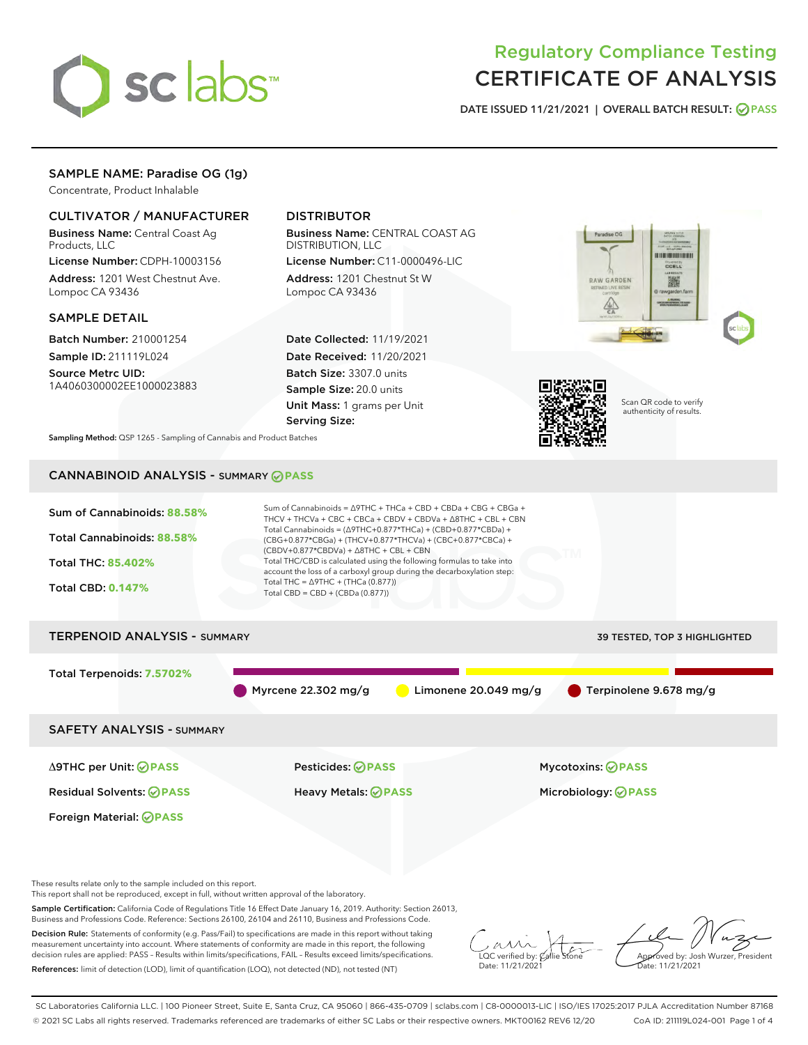

# Regulatory Compliance Testing CERTIFICATE OF ANALYSIS

DATE ISSUED 11/21/2021 | OVERALL BATCH RESULT: @ PASS

# SAMPLE NAME: Paradise OG (1g)

Concentrate, Product Inhalable

# CULTIVATOR / MANUFACTURER

Business Name: Central Coast Ag Products, LLC

License Number: CDPH-10003156 Address: 1201 West Chestnut Ave. Lompoc CA 93436

### SAMPLE DETAIL

Batch Number: 210001254 Sample ID: 211119L024

Source Metrc UID: 1A4060300002EE1000023883

# DISTRIBUTOR

Business Name: CENTRAL COAST AG DISTRIBUTION, LLC

License Number: C11-0000496-LIC Address: 1201 Chestnut St W Lompoc CA 93436

Date Collected: 11/19/2021 Date Received: 11/20/2021 Batch Size: 3307.0 units Sample Size: 20.0 units Unit Mass: 1 grams per Unit Serving Size:





Scan QR code to verify authenticity of results.

Sampling Method: QSP 1265 - Sampling of Cannabis and Product Batches

# CANNABINOID ANALYSIS - SUMMARY **PASS**



These results relate only to the sample included on this report.

This report shall not be reproduced, except in full, without written approval of the laboratory.

Sample Certification: California Code of Regulations Title 16 Effect Date January 16, 2019. Authority: Section 26013, Business and Professions Code. Reference: Sections 26100, 26104 and 26110, Business and Professions Code.

Decision Rule: Statements of conformity (e.g. Pass/Fail) to specifications are made in this report without taking measurement uncertainty into account. Where statements of conformity are made in this report, the following decision rules are applied: PASS – Results within limits/specifications, FAIL – Results exceed limits/specifications. References: limit of detection (LOD), limit of quantification (LOQ), not detected (ND), not tested (NT)

 $\overline{\text{LOC}}$  verified by:  $\mathcal{C}_i$ Date: 11/21/2021

Approved by: Josh Wurzer, President ate: 11/21/2021

SC Laboratories California LLC. | 100 Pioneer Street, Suite E, Santa Cruz, CA 95060 | 866-435-0709 | sclabs.com | C8-0000013-LIC | ISO/IES 17025:2017 PJLA Accreditation Number 87168 © 2021 SC Labs all rights reserved. Trademarks referenced are trademarks of either SC Labs or their respective owners. MKT00162 REV6 12/20 CoA ID: 211119L024-001 Page 1 of 4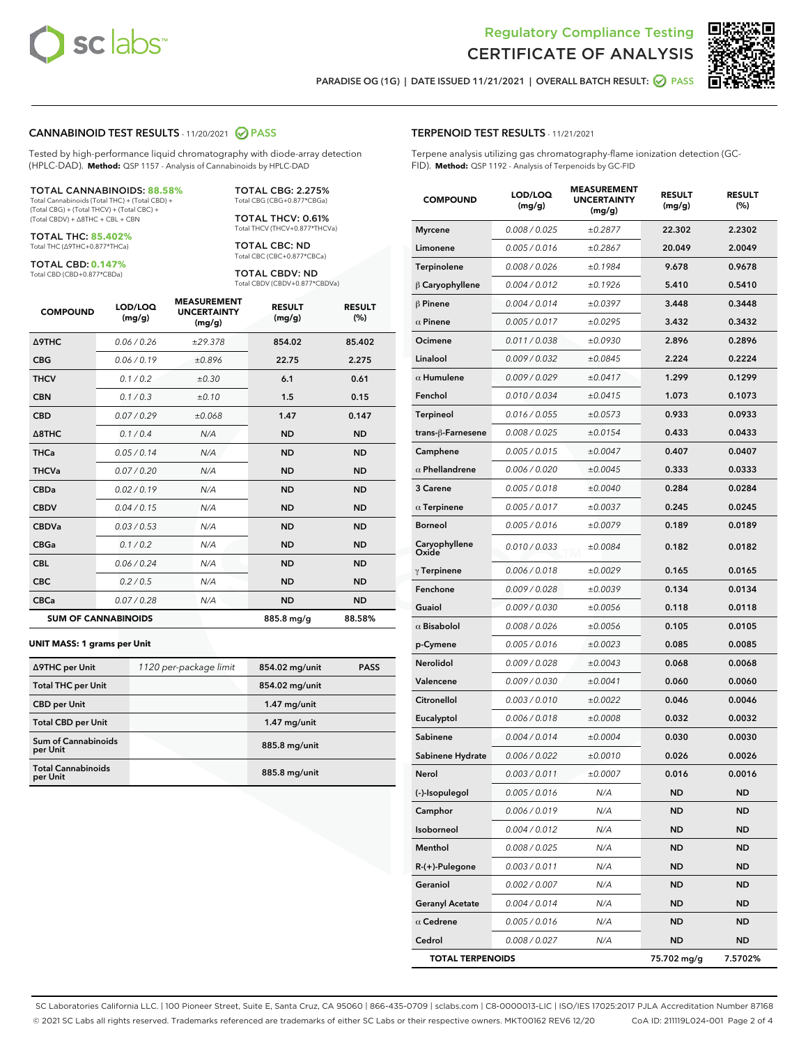

Terpene analysis utilizing gas chromatography-flame ionization detection (GC-



PARADISE OG (1G) | DATE ISSUED 11/21/2021 | OVERALL BATCH RESULT:  $\bigcirc$  PASS

TERPENOID TEST RESULTS - 11/21/2021

### CANNABINOID TEST RESULTS - 11/20/2021 2 PASS

Tested by high-performance liquid chromatography with diode-array detection (HPLC-DAD). **Method:** QSP 1157 - Analysis of Cannabinoids by HPLC-DAD

#### TOTAL CANNABINOIDS: **88.58%**

Total Cannabinoids (Total THC) + (Total CBD) + (Total CBG) + (Total THCV) + (Total CBC) + (Total CBDV) + ∆8THC + CBL + CBN

TOTAL THC: **85.402%** Total THC (∆9THC+0.877\*THCa)

TOTAL CBD: **0.147%**

Total CBD (CBD+0.877\*CBDa)

TOTAL CBG: 2.275% Total CBG (CBG+0.877\*CBGa)

TOTAL THCV: 0.61% Total THCV (THCV+0.877\*THCVa)

TOTAL CBC: ND Total CBC (CBC+0.877\*CBCa)

TOTAL CBDV: ND Total CBDV (CBDV+0.877\*CBDVa)

| <b>COMPOUND</b>            | LOD/LOQ<br>(mg/g) | <b>MEASUREMENT</b><br><b>UNCERTAINTY</b><br>(mg/g) | <b>RESULT</b><br>(mg/g) | <b>RESULT</b><br>(%) |
|----------------------------|-------------------|----------------------------------------------------|-------------------------|----------------------|
| <b>A9THC</b>               | 0.06/0.26         | ±29.378                                            | 854.02                  | 85.402               |
| <b>CBG</b>                 | 0.06/0.19         | ±0.896                                             | 22.75                   | 2.275                |
| <b>THCV</b>                | 0.1/0.2           | ±0.30                                              | 6.1                     | 0.61                 |
| <b>CBN</b>                 | 0.1/0.3           | ±0.10                                              | 1.5                     | 0.15                 |
| <b>CBD</b>                 | 0.07/0.29         | ±0.068                                             | 1.47                    | 0.147                |
| $\triangle$ 8THC           | 0.1 / 0.4         | N/A                                                | <b>ND</b>               | <b>ND</b>            |
| <b>THCa</b>                | 0.05/0.14         | N/A                                                | <b>ND</b>               | <b>ND</b>            |
| <b>THCVa</b>               | 0.07/0.20         | N/A                                                | <b>ND</b>               | <b>ND</b>            |
| <b>CBDa</b>                | 0.02/0.19         | N/A                                                | <b>ND</b>               | <b>ND</b>            |
| <b>CBDV</b>                | 0.04 / 0.15       | N/A                                                | <b>ND</b>               | <b>ND</b>            |
| <b>CBDVa</b>               | 0.03 / 0.53       | N/A                                                | <b>ND</b>               | <b>ND</b>            |
| <b>CBGa</b>                | 0.1 / 0.2         | N/A                                                | <b>ND</b>               | <b>ND</b>            |
| <b>CBL</b>                 | 0.06 / 0.24       | N/A                                                | <b>ND</b>               | <b>ND</b>            |
| <b>CBC</b>                 | 0.2 / 0.5         | N/A                                                | <b>ND</b>               | <b>ND</b>            |
| <b>CBCa</b>                | 0.07/0.28         | N/A                                                | <b>ND</b>               | <b>ND</b>            |
| <b>SUM OF CANNABINOIDS</b> |                   |                                                    | 885.8 mg/g              | 88.58%               |

#### **UNIT MASS: 1 grams per Unit**

| ∆9THC per Unit                        | 1120 per-package limit | 854.02 mg/unit | <b>PASS</b> |
|---------------------------------------|------------------------|----------------|-------------|
| <b>Total THC per Unit</b>             |                        | 854.02 mg/unit |             |
| <b>CBD</b> per Unit                   |                        | $1.47$ mg/unit |             |
| <b>Total CBD per Unit</b>             |                        | $1.47$ mg/unit |             |
| Sum of Cannabinoids<br>per Unit       |                        | 885.8 mg/unit  |             |
| <b>Total Cannabinoids</b><br>per Unit |                        | 885.8 mg/unit  |             |

| <b>COMPOUND</b>        | LOD/LOQ<br>(mg/g) | <b>MEASUREMENT</b><br><b>UNCERTAINTY</b><br>(mg/g) | <b>RESULT</b><br>(mg/g) | <b>RESULT</b><br>(%) |
|------------------------|-------------------|----------------------------------------------------|-------------------------|----------------------|
| <b>Myrcene</b>         | 0.008 / 0.025     | ±0.2877                                            | 22.302                  | 2.2302               |
| Limonene               | 0.005 / 0.016     | ±0.2867                                            | 20.049                  | 2.0049               |
| Terpinolene            | 0.008 / 0.026     | ±0.1984                                            | 9.678                   | 0.9678               |
| $\beta$ Caryophyllene  | 0.004 / 0.012     | ±0.1926                                            | 5.410                   | 0.5410               |
| $\beta$ Pinene         | 0.004 / 0.014     | ±0.0397                                            | 3.448                   | 0.3448               |
| $\alpha$ Pinene        | 0.005 / 0.017     | ±0.0295                                            | 3.432                   | 0.3432               |
| Ocimene                | 0.011 / 0.038     | ±0.0930                                            | 2.896                   | 0.2896               |
| Linalool               | 0.009 / 0.032     | ±0.0845                                            | 2.224                   | 0.2224               |
| $\alpha$ Humulene      | 0.009 / 0.029     | ±0.0417                                            | 1.299                   | 0.1299               |
| Fenchol                | 0.010 / 0.034     | ±0.0415                                            | 1.073                   | 0.1073               |
| <b>Terpineol</b>       | 0.016 / 0.055     | ±0.0573                                            | 0.933                   | 0.0933               |
| trans-ß-Farnesene      | 0.008 / 0.025     | ±0.0154                                            | 0.433                   | 0.0433               |
| Camphene               | 0.005 / 0.015     | ±0.0047                                            | 0.407                   | 0.0407               |
| $\alpha$ Phellandrene  | 0.006 / 0.020     | ±0.0045                                            | 0.333                   | 0.0333               |
| 3 Carene               | 0.005 / 0.018     | ±0.0040                                            | 0.284                   | 0.0284               |
| $\alpha$ Terpinene     | 0.005 / 0.017     | ±0.0037                                            | 0.245                   | 0.0245               |
| Borneol                | 0.005 / 0.016     | ±0.0079                                            | 0.189                   | 0.0189               |
| Caryophyllene<br>Oxide | 0.010 / 0.033     | ±0.0084                                            | 0.182                   | 0.0182               |
| $\gamma$ Terpinene     | 0.006 / 0.018     | ±0.0029                                            | 0.165                   | 0.0165               |
| Fenchone               | 0.009 / 0.028     | ±0.0039                                            | 0.134                   | 0.0134               |
| Guaiol                 | 0.009 / 0.030     | ±0.0056                                            | 0.118                   | 0.0118               |
| $\alpha$ Bisabolol     | 0.008 / 0.026     | ±0.0056                                            | 0.105                   | 0.0105               |
| p-Cymene               | 0.005 / 0.016     | ±0.0023                                            | 0.085                   | 0.0085               |
| <b>Nerolidol</b>       | 0.009 / 0.028     | ±0.0043                                            | 0.068                   | 0.0068               |
| Valencene              | 0.009 / 0.030     | ±0.0041                                            | 0.060                   | 0.0060               |
| Citronellol            | 0.003 / 0.010     | ±0.0022                                            | 0.046                   | 0.0046               |
| Eucalyptol             | 0.006 / 0.018     | ±0.0008                                            | 0.032                   | 0.0032               |
| Sabinene               | 0.004 / 0.014     | ±0.0004                                            | 0.030                   | 0.0030               |
| Sabinene Hydrate       | 0.006 / 0.022     | ±0.0010                                            | 0.026                   | 0.0026               |
| Nerol                  | 0.003 / 0.011     | ±0.0007                                            | 0.016                   | 0.0016               |
| (-)-Isopulegol         | 0.005 / 0.016     | N/A                                                | <b>ND</b>               | <b>ND</b>            |
| Camphor                | 0.006 / 0.019     | N/A                                                | <b>ND</b>               | ND                   |
| Isoborneol             | 0.004 / 0.012     | N/A                                                | <b>ND</b>               | ND                   |

Menthol 0.008 / 0.025 N/A ND ND R-(+)-Pulegone 0.003 / 0.011 N/A ND ND Geraniol 0.002 / 0.007 N/A ND ND Geranyl Acetate  $0.004 / 0.014$  N/A ND ND  $\alpha$  Cedrene  $0.005 / 0.016$  N/A ND ND Cedrol 0.008 / 0.027 N/A ND ND TOTAL TERPENOIDS 75.702 mg/g 7.5702%

SC Laboratories California LLC. | 100 Pioneer Street, Suite E, Santa Cruz, CA 95060 | 866-435-0709 | sclabs.com | C8-0000013-LIC | ISO/IES 17025:2017 PJLA Accreditation Number 87168 © 2021 SC Labs all rights reserved. Trademarks referenced are trademarks of either SC Labs or their respective owners. MKT00162 REV6 12/20 CoA ID: 211119L024-001 Page 2 of 4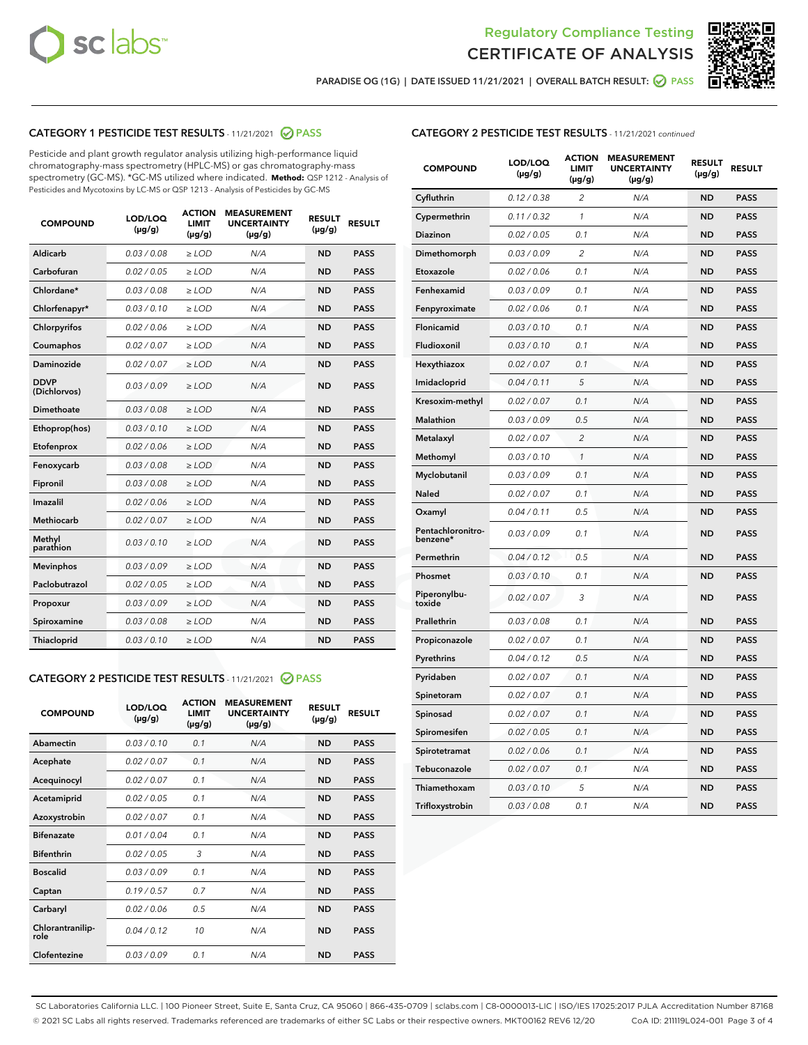



PARADISE OG (1G) | DATE ISSUED 11/21/2021 | OVERALL BATCH RESULT: O PASS

# CATEGORY 1 PESTICIDE TEST RESULTS - 11/21/2021 2 PASS

Pesticide and plant growth regulator analysis utilizing high-performance liquid chromatography-mass spectrometry (HPLC-MS) or gas chromatography-mass spectrometry (GC-MS). \*GC-MS utilized where indicated. **Method:** QSP 1212 - Analysis of Pesticides and Mycotoxins by LC-MS or QSP 1213 - Analysis of Pesticides by GC-MS

| <b>COMPOUND</b>             | LOD/LOQ<br>$(\mu g/g)$ | <b>ACTION</b><br><b>LIMIT</b><br>$(\mu g/g)$ | <b>MEASUREMENT</b><br><b>UNCERTAINTY</b><br>$(\mu g/g)$ | <b>RESULT</b><br>$(\mu g/g)$ | <b>RESULT</b> |
|-----------------------------|------------------------|----------------------------------------------|---------------------------------------------------------|------------------------------|---------------|
| Aldicarb                    | 0.03 / 0.08            | $\geq$ LOD                                   | N/A                                                     | <b>ND</b>                    | <b>PASS</b>   |
| Carbofuran                  | 0.02/0.05              | $\geq$ LOD                                   | N/A                                                     | <b>ND</b>                    | <b>PASS</b>   |
| Chlordane*                  | 0.03 / 0.08            | $\ge$ LOD                                    | N/A                                                     | <b>ND</b>                    | <b>PASS</b>   |
| Chlorfenapyr*               | 0.03/0.10              | $\ge$ LOD                                    | N/A                                                     | <b>ND</b>                    | <b>PASS</b>   |
| Chlorpyrifos                | 0.02 / 0.06            | $\ge$ LOD                                    | N/A                                                     | <b>ND</b>                    | <b>PASS</b>   |
| Coumaphos                   | 0.02 / 0.07            | $\ge$ LOD                                    | N/A                                                     | <b>ND</b>                    | <b>PASS</b>   |
| Daminozide                  | 0.02 / 0.07            | $\ge$ LOD                                    | N/A                                                     | <b>ND</b>                    | <b>PASS</b>   |
| <b>DDVP</b><br>(Dichlorvos) | 0.03/0.09              | $\ge$ LOD                                    | N/A                                                     | <b>ND</b>                    | <b>PASS</b>   |
| Dimethoate                  | 0.03 / 0.08            | $\ge$ LOD                                    | N/A                                                     | <b>ND</b>                    | <b>PASS</b>   |
| Ethoprop(hos)               | 0.03/0.10              | $\ge$ LOD                                    | N/A                                                     | <b>ND</b>                    | <b>PASS</b>   |
| Etofenprox                  | 0.02/0.06              | $\ge$ LOD                                    | N/A                                                     | <b>ND</b>                    | <b>PASS</b>   |
| Fenoxycarb                  | 0.03/0.08              | $\ge$ LOD                                    | N/A                                                     | <b>ND</b>                    | <b>PASS</b>   |
| Fipronil                    | 0.03/0.08              | $\ge$ LOD                                    | N/A                                                     | <b>ND</b>                    | <b>PASS</b>   |
| Imazalil                    | 0.02 / 0.06            | $\ge$ LOD                                    | N/A                                                     | <b>ND</b>                    | <b>PASS</b>   |
| <b>Methiocarb</b>           | 0.02 / 0.07            | $\ge$ LOD                                    | N/A                                                     | <b>ND</b>                    | <b>PASS</b>   |
| Methyl<br>parathion         | 0.03/0.10              | $\ge$ LOD                                    | N/A                                                     | <b>ND</b>                    | <b>PASS</b>   |
| <b>Mevinphos</b>            | 0.03/0.09              | $\ge$ LOD                                    | N/A                                                     | <b>ND</b>                    | <b>PASS</b>   |
| Paclobutrazol               | 0.02 / 0.05            | $\ge$ LOD                                    | N/A                                                     | <b>ND</b>                    | <b>PASS</b>   |
| Propoxur                    | 0.03/0.09              | $\ge$ LOD                                    | N/A                                                     | <b>ND</b>                    | <b>PASS</b>   |
| Spiroxamine                 | 0.03 / 0.08            | $\ge$ LOD                                    | N/A                                                     | <b>ND</b>                    | <b>PASS</b>   |
| <b>Thiacloprid</b>          | 0.03/0.10              | $\ge$ LOD                                    | N/A                                                     | <b>ND</b>                    | <b>PASS</b>   |
|                             |                        |                                              |                                                         |                              |               |

# CATEGORY 2 PESTICIDE TEST RESULTS - 11/21/2021 @ PASS

| <b>COMPOUND</b>          | LOD/LOO<br>$(\mu g/g)$ | <b>ACTION</b><br>LIMIT<br>$(\mu g/g)$ | <b>MEASUREMENT</b><br><b>UNCERTAINTY</b><br>$(\mu g/g)$ | <b>RESULT</b><br>$(\mu g/g)$ | <b>RESULT</b> |  |
|--------------------------|------------------------|---------------------------------------|---------------------------------------------------------|------------------------------|---------------|--|
| Abamectin                | 0.03/0.10              | 0.1                                   | N/A                                                     | <b>ND</b>                    | <b>PASS</b>   |  |
| Acephate                 | 0.02/0.07              | 0.1                                   | N/A                                                     | <b>ND</b>                    | <b>PASS</b>   |  |
| Acequinocyl              | 0.02/0.07              | 0.1                                   | N/A                                                     | <b>ND</b>                    | <b>PASS</b>   |  |
| Acetamiprid              | 0.02/0.05              | 0.1                                   | N/A                                                     | <b>ND</b>                    | <b>PASS</b>   |  |
| Azoxystrobin             | 0.02/0.07              | 0.1                                   | N/A                                                     | <b>ND</b>                    | <b>PASS</b>   |  |
| <b>Bifenazate</b>        | 0.01/0.04              | 0.1                                   | N/A                                                     | <b>ND</b>                    | <b>PASS</b>   |  |
| <b>Bifenthrin</b>        | 0.02/0.05              | 3                                     | N/A                                                     | <b>ND</b>                    | <b>PASS</b>   |  |
| <b>Boscalid</b>          | 0.03/0.09              | 0.1                                   | N/A                                                     | <b>ND</b>                    | <b>PASS</b>   |  |
| Captan                   | 0.19/0.57              | 0.7                                   | N/A                                                     | <b>ND</b>                    | <b>PASS</b>   |  |
| Carbaryl                 | 0.02/0.06              | 0.5                                   | N/A                                                     | <b>ND</b>                    | <b>PASS</b>   |  |
| Chlorantranilip-<br>role | 0.04/0.12              | 10                                    | N/A                                                     | <b>ND</b>                    | <b>PASS</b>   |  |
| Clofentezine             | 0.03/0.09              | 0.1                                   | N/A                                                     | <b>ND</b>                    | <b>PASS</b>   |  |

# CATEGORY 2 PESTICIDE TEST RESULTS - 11/21/2021 continued

| <b>COMPOUND</b>               | LOD/LOQ<br>(µg/g) | <b>ACTION</b><br>LIMIT<br>(µg/g) | <b>MEASUREMENT</b><br><b>UNCERTAINTY</b><br>(µg/g) | <b>RESULT</b><br>$(\mu g/g)$ | <b>RESULT</b> |
|-------------------------------|-------------------|----------------------------------|----------------------------------------------------|------------------------------|---------------|
| Cyfluthrin                    | 0.12 / 0.38       | $\overline{2}$                   | N/A                                                | <b>ND</b>                    | <b>PASS</b>   |
| Cypermethrin                  | 0.11 / 0.32       | 1                                | N/A                                                | <b>ND</b>                    | <b>PASS</b>   |
| Diazinon                      | 0.02 / 0.05       | 0.1                              | N/A                                                | <b>ND</b>                    | <b>PASS</b>   |
| Dimethomorph                  | 0.03 / 0.09       | $\overline{c}$                   | N/A                                                | <b>ND</b>                    | <b>PASS</b>   |
| Etoxazole                     | 0.02 / 0.06       | 0.1                              | N/A                                                | <b>ND</b>                    | <b>PASS</b>   |
| Fenhexamid                    | 0.03 / 0.09       | 0.1                              | N/A                                                | <b>ND</b>                    | <b>PASS</b>   |
| Fenpyroximate                 | 0.02 / 0.06       | 0.1                              | N/A                                                | <b>ND</b>                    | <b>PASS</b>   |
| Flonicamid                    | 0.03 / 0.10       | 0.1                              | N/A                                                | <b>ND</b>                    | <b>PASS</b>   |
| Fludioxonil                   | 0.03 / 0.10       | 0.1                              | N/A                                                | <b>ND</b>                    | <b>PASS</b>   |
| Hexythiazox                   | 0.02 / 0.07       | 0.1                              | N/A                                                | <b>ND</b>                    | <b>PASS</b>   |
| Imidacloprid                  | 0.04 / 0.11       | 5                                | N/A                                                | <b>ND</b>                    | <b>PASS</b>   |
| Kresoxim-methyl               | 0.02 / 0.07       | 0.1                              | N/A                                                | <b>ND</b>                    | <b>PASS</b>   |
| Malathion                     | 0.03 / 0.09       | 0.5                              | N/A                                                | <b>ND</b>                    | <b>PASS</b>   |
| Metalaxyl                     | 0.02 / 0.07       | $\overline{c}$                   | N/A                                                | ND                           | <b>PASS</b>   |
| Methomyl                      | 0.03 / 0.10       | $\mathbf{1}$                     | N/A                                                | <b>ND</b>                    | <b>PASS</b>   |
| Myclobutanil                  | 0.03 / 0.09       | 0.1                              | N/A                                                | <b>ND</b>                    | <b>PASS</b>   |
| Naled                         | 0.02 / 0.07       | 0.1                              | N/A                                                | <b>ND</b>                    | <b>PASS</b>   |
| Oxamyl                        | 0.04 / 0.11       | 0.5                              | N/A                                                | <b>ND</b>                    | <b>PASS</b>   |
| Pentachloronitro-<br>benzene* | 0.03 / 0.09       | 0.1                              | N/A                                                | ND                           | <b>PASS</b>   |
| Permethrin                    | 0.04 / 0.12       | 0.5                              | N/A                                                | <b>ND</b>                    | <b>PASS</b>   |
| Phosmet                       | 0.03 / 0.10       | 0.1                              | N/A                                                | <b>ND</b>                    | <b>PASS</b>   |
| Piperonylbu-<br>toxide        | 0.02 / 0.07       | 3                                | N/A                                                | <b>ND</b>                    | <b>PASS</b>   |
| Prallethrin                   | 0.03 / 0.08       | 0.1                              | N/A                                                | <b>ND</b>                    | <b>PASS</b>   |
| Propiconazole                 | 0.02 / 0.07       | 0.1                              | N/A                                                | <b>ND</b>                    | <b>PASS</b>   |
| Pyrethrins                    | 0.04 / 0.12       | 0.5                              | N/A                                                | <b>ND</b>                    | <b>PASS</b>   |
| Pyridaben                     | 0.02 / 0.07       | 0.1                              | N/A                                                | <b>ND</b>                    | <b>PASS</b>   |
| Spinetoram                    | 0.02 / 0.07       | 0.1                              | N/A                                                | <b>ND</b>                    | <b>PASS</b>   |
| Spinosad                      | 0.02 / 0.07       | 0.1                              | N/A                                                | <b>ND</b>                    | <b>PASS</b>   |
| Spiromesifen                  | 0.02 / 0.05       | 0.1                              | N/A                                                | <b>ND</b>                    | <b>PASS</b>   |
| Spirotetramat                 | 0.02 / 0.06       | 0.1                              | N/A                                                | <b>ND</b>                    | <b>PASS</b>   |
| Tebuconazole                  | 0.02 / 0.07       | 0.1                              | N/A                                                | <b>ND</b>                    | <b>PASS</b>   |
| Thiamethoxam                  | 0.03 / 0.10       | 5                                | N/A                                                | <b>ND</b>                    | <b>PASS</b>   |
| Trifloxystrobin               | 0.03 / 0.08       | 0.1                              | N/A                                                | <b>ND</b>                    | <b>PASS</b>   |

SC Laboratories California LLC. | 100 Pioneer Street, Suite E, Santa Cruz, CA 95060 | 866-435-0709 | sclabs.com | C8-0000013-LIC | ISO/IES 17025:2017 PJLA Accreditation Number 87168 © 2021 SC Labs all rights reserved. Trademarks referenced are trademarks of either SC Labs or their respective owners. MKT00162 REV6 12/20 CoA ID: 211119L024-001 Page 3 of 4